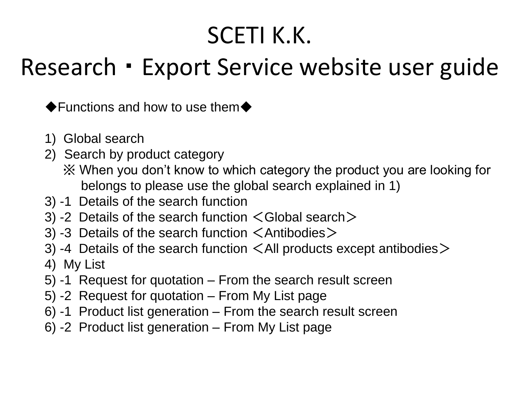#### SCETI K.K.

#### Research ・ Export Service website user guide

◆Functions and how to use them◆

- 1) Global search
- 2) Search by product category
	- ※ When you don't know to which category the product you are looking for belongs to please use the global search explained in 1)
- 3) -1 Details of the search function
- 3) -2 Details of the search function  $\leq$  Global search  $\geq$
- 3) -3 Details of the search function  $\leq$  Antibodies  $\geq$
- 3) -4 Details of the search function  $\leq$  All products except antibodies  $\geq$
- 4) My List
- 5) -1 Request for quotation From the search result screen
- 5) -2 Request for quotation From My List page
- 6) -1 Product list generation From the search result screen
- 6) -2 Product list generation From My List page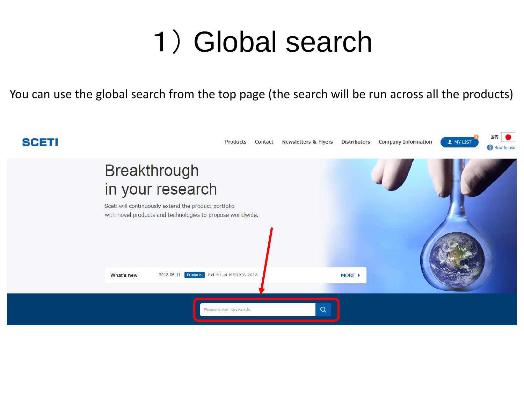#### 1) Global search

You can use the global search from the top page (the search will be run across all the products)

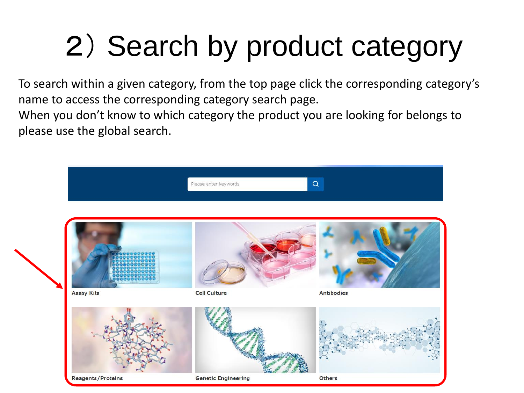# 2) Search by product category

To search within a given category, from the top page click the corresponding category's name to access the corresponding category search page.

When you don't know to which category the product you are looking for belongs to please use the global search.

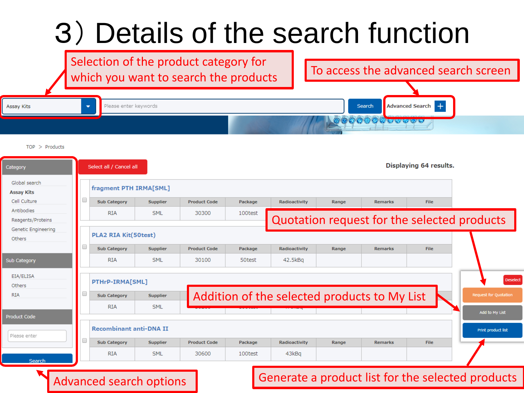## 3) Details of the search function

Selection of the product category for which you want to search the products  $\begin{bmatrix} 1 & 1 \\ 1 & 1 \end{bmatrix}$  To access the advanced search screen

| ly Kits | $\overline{\phantom{a}}$ | Please enter keywords | Search | Advanced Search     |
|---------|--------------------------|-----------------------|--------|---------------------|
|         |                          |                       |        | <b>ISTER STEAMS</b> |

 $TOP > Products$ 

| Category                           |   | Select all / Cancel all        |                 |                     |         |                                              |       |                | Displaying 64 results. |                                             |
|------------------------------------|---|--------------------------------|-----------------|---------------------|---------|----------------------------------------------|-------|----------------|------------------------|---------------------------------------------|
| Global search<br><b>Assay Kits</b> |   | fragment PTH IRMA[SML]         |                 |                     |         |                                              |       |                |                        |                                             |
| Cell Culture                       |   | <b>Sub Category</b>            | <b>Supplier</b> | <b>Product Code</b> | Package | Radioactivity                                | Range | <b>Remarks</b> | <b>File</b>            |                                             |
| Antibodies<br>Reagents/Proteins    |   | <b>RIA</b>                     | <b>SML</b>      | 30300               | 100test |                                              |       |                |                        | Quotation request for the selected products |
| Genetic Engineering                |   |                                |                 |                     |         |                                              |       |                |                        |                                             |
| Others                             |   | <b>PLA2 RIA Kit(50test)</b>    |                 |                     |         |                                              |       |                |                        |                                             |
|                                    | □ | <b>Sub Category</b>            | <b>Supplier</b> | <b>Product Code</b> | Package | Radioactivity                                | Range | <b>Remarks</b> | <b>File</b>            |                                             |
| <b>Sub Category</b>                |   | <b>RIA</b>                     | <b>SML</b>      | 30100               | 50test  | 42.5kBq                                      |       |                |                        |                                             |
| EIA/ELISA<br>Others                |   | PTHrP-IRMA[SML]                |                 |                     |         |                                              |       |                |                        | Deselect                                    |
| <b>RIA</b>                         |   | <b>Sub Category</b>            | <b>Supplier</b> |                     |         | Addition of the selected products to My List |       |                |                        | Request for Quotation                       |
|                                    |   | <b>RIA</b>                     | <b>SML</b>      |                     |         |                                              |       |                |                        | Add to My List                              |
| <b>Product Code</b>                |   |                                |                 |                     |         |                                              |       |                |                        |                                             |
| Please enter                       |   | <b>Recombinant anti-DNA II</b> |                 |                     |         |                                              |       |                |                        | Print product list                          |
|                                    | ∩ | <b>Sub Category</b>            | <b>Supplier</b> | <b>Product Code</b> | Package | Radioactivity                                | Range | <b>Remarks</b> | <b>File</b>            |                                             |
| Search                             |   | <b>RIA</b>                     | <b>SML</b>      | 30600               | 100test | 43kBq                                        |       |                |                        |                                             |
|                                    |   |                                |                 |                     |         |                                              |       |                |                        |                                             |

#### Advanced search options

#### Generate a product list for the selected products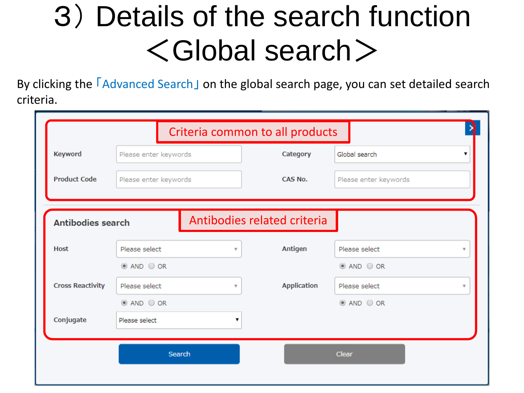## 3) Details of the search function <Global search>

By clicking the **FAdvanced Search** on the global search page, you can set detailed search criteria.

| Criteria common to all products |                       |   |                             |                                          |  |  |  |  |  |  |
|---------------------------------|-----------------------|---|-----------------------------|------------------------------------------|--|--|--|--|--|--|
| <b>Keyword</b>                  | Please enter keywords |   | Category                    | Global search                            |  |  |  |  |  |  |
| <b>Product Code</b>             | Please enter keywords |   | CAS No.                     | Please enter keywords                    |  |  |  |  |  |  |
|                                 |                       |   |                             |                                          |  |  |  |  |  |  |
| <b>Antibodies search</b>        |                       |   | Antibodies related criteria |                                          |  |  |  |  |  |  |
| <b>Host</b>                     | Please select         | v | Antigen                     | Please select<br>$\overline{\mathbf{v}}$ |  |  |  |  |  |  |
|                                 | $@$ AND $@$ OR        |   |                             | $@$ AND $@$ OR                           |  |  |  |  |  |  |
| <b>Cross Reactivity</b>         | Please select         | v | Application                 | Please select<br>v                       |  |  |  |  |  |  |
|                                 | $@$ AND $@$ OR        |   |                             | $@$ AND $@$ OR                           |  |  |  |  |  |  |
|                                 |                       |   |                             |                                          |  |  |  |  |  |  |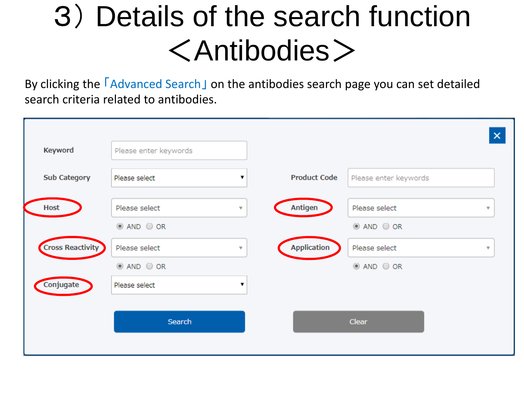## 3) Details of the search function <Antibodies>

By clicking the **FAdvanced Search** on the antibodies search page you can set detailed search criteria related to antibodies.

|                         |                       |                         |                     |                       | $\pmb{\times}$ |
|-------------------------|-----------------------|-------------------------|---------------------|-----------------------|----------------|
| Keyword                 | Please enter keywords |                         |                     |                       |                |
| <b>Sub Category</b>     | Please select         | 7                       | <b>Product Code</b> | Please enter keywords |                |
| <b>Host</b>             | Please select         | $\overline{\mathbf{v}}$ | Antigen             | Please select         | ۳              |
|                         | $@$ AND $@$ OR        |                         |                     | $@$ AND $@$ OR        |                |
| <b>Cross Reactivity</b> | Please select         | $\forall$               | <b>Application</b>  | Please select         | v              |
|                         | $@$ AND $@$ OR        |                         |                     | $@$ AND $@$ OR        |                |
| Conjugate               | Please select         | 7                       |                     |                       |                |
|                         |                       |                         |                     |                       |                |
|                         | Search                |                         |                     | <b>Clear</b>          |                |
|                         |                       |                         |                     |                       |                |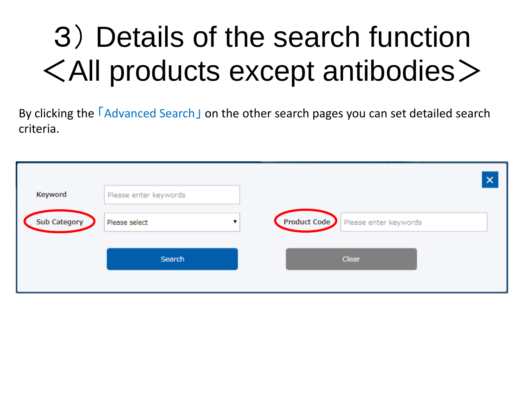# 3) Details of the search function <All products except antibodies>

By clicking the **F**Advanced Search I on the other search pages you can set detailed search criteria.

|                     |                                          | $\boldsymbol{\times}$                       |
|---------------------|------------------------------------------|---------------------------------------------|
| Keyword             | Please enter keywords                    |                                             |
| <b>Sub Category</b> | Please select<br>$\overline{\mathbf{v}}$ | <b>Product Code</b>   Please enter keywords |
|                     | Search                                   | Clear                                       |
|                     |                                          |                                             |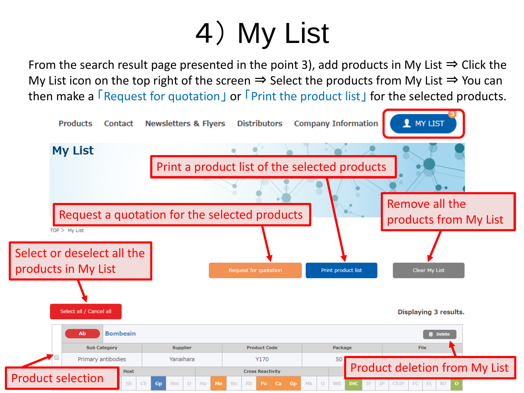# 4) My List

From the search result page presented in the point 3), add products in My List  $\Rightarrow$  Click the My List icon on the top right of the screen  $\Rightarrow$  Select the products from My List  $\Rightarrow$  You can then make a **FRequest for quotation** or **FPrint the product list** for the selected products.

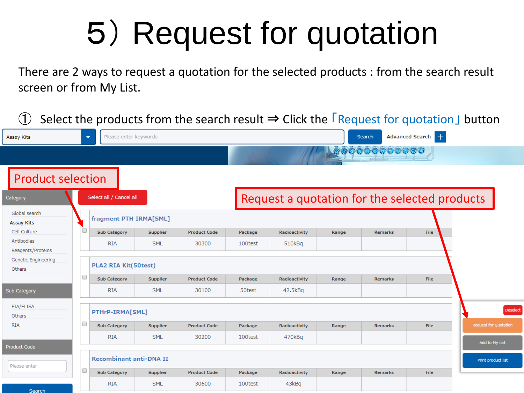# 5) Request for quotation

There are 2 ways to request a quotation for the selected products : from the search result screen or from My List.

|                                    |   |                                                   |                 |                     |         |                                               |       |                |                   | Select the products from the search result $\Rightarrow$ Click the $\sqrt{\phantom{0}}$ Request for quotation J button |
|------------------------------------|---|---------------------------------------------------|-----------------|---------------------|---------|-----------------------------------------------|-------|----------------|-------------------|------------------------------------------------------------------------------------------------------------------------|
| Assay Kits                         |   | Please enter keywords<br>$\overline{\phantom{a}}$ |                 |                     |         |                                               |       | Search         | Advanced Search + |                                                                                                                        |
|                                    |   |                                                   |                 |                     |         |                                               |       | ,,,,,,,,,,,,   |                   |                                                                                                                        |
| <b>Product selection</b>           |   |                                                   |                 |                     |         |                                               |       |                |                   |                                                                                                                        |
| Category                           |   | Select all / Cancel all                           |                 |                     |         | Request a quotation for the selected products |       |                |                   |                                                                                                                        |
| Global search<br><b>Assay Kits</b> |   | fragment PTH IRMA[SML]                            |                 |                     |         |                                               |       |                |                   |                                                                                                                        |
| Cell Culture                       | u | <b>Sub Category</b>                               | Supplier        | <b>Product Code</b> | Package | Radioactivity                                 | Range | Remarks        | File              |                                                                                                                        |
| Antibodies<br>Reagents/Proteins    |   | <b>RIA</b>                                        | <b>SML</b>      | 30300               | 100test | 510kBq                                        |       |                |                   |                                                                                                                        |
| Genetic Engineering<br>Others      |   | <b>PLA2 RIA Kit(50test)</b>                       |                 |                     |         |                                               |       |                |                   |                                                                                                                        |
|                                    | O | <b>Sub Category</b>                               | <b>Supplier</b> | <b>Product Code</b> | Package | Radioactivity                                 | Range | <b>Remarks</b> | File              |                                                                                                                        |
| Sub Category                       |   | <b>RIA</b>                                        | <b>SML</b>      | 30100               | 50test  | 42.5kBq                                       |       |                |                   |                                                                                                                        |
| EIA/ELISA<br>Others                |   | PTHrP-IRMA[SML]                                   |                 |                     |         |                                               |       |                |                   | Deselect                                                                                                               |
| <b>RIA</b>                         | 0 | <b>Sub Category</b>                               | Supplier        | <b>Product Code</b> | Package | Radioactivity                                 | Range | <b>Remarks</b> | File              | Request for Quotation                                                                                                  |
|                                    |   | <b>RIA</b>                                        | <b>SML</b>      | 30200               | 100test | 470kBq                                        |       |                |                   | Add to My List                                                                                                         |
| Product Code                       |   |                                                   |                 |                     |         |                                               |       |                |                   |                                                                                                                        |
| Please enter                       |   | <b>Recombinant anti-DNA II</b>                    |                 |                     |         |                                               |       |                |                   | <b>Print product list</b>                                                                                              |
|                                    | 0 | <b>Sub Category</b>                               | Supplier        | <b>Product Code</b> | Package | Radioactivity                                 | Range | <b>Remarks</b> | File              |                                                                                                                        |
| Search                             |   | <b>RIA</b>                                        | <b>SML</b>      | 30600               | 100test | 43kBq                                         |       |                |                   |                                                                                                                        |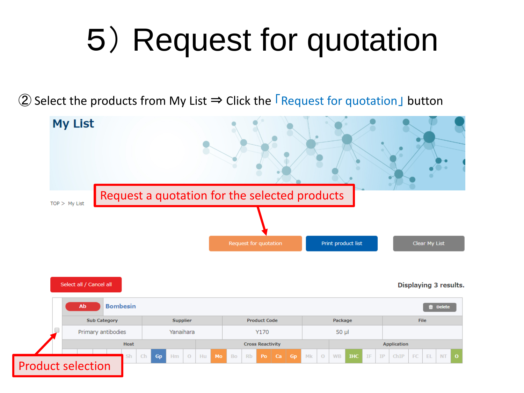# 5) Request for quotation

② Select the products from My List  $\Rightarrow$  Click the  $\sqrt{\frac{1}{2}}$  Request for quotation button

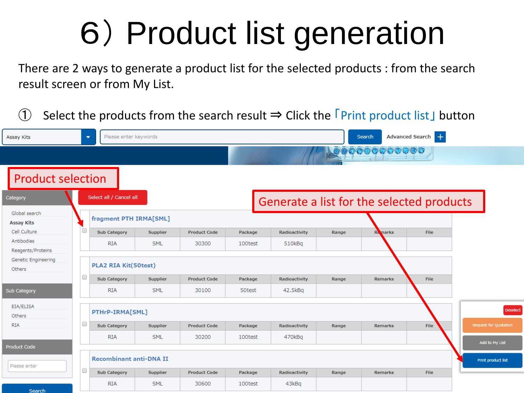# 6) Product list generation

There are 2 ways to generate a product list for the selected products : from the search result screen or from My List.

Select the products from the search result  $\Rightarrow$  Click the  $\Gamma$ Print product list I button

| Assay Kits                         | $\overline{\phantom{a}}$ | Please enter keywords          |                 |                     | Advanced Search -<br>Search |  |               |       |                                           |             |                           |         |
|------------------------------------|--------------------------|--------------------------------|-----------------|---------------------|-----------------------------|--|---------------|-------|-------------------------------------------|-------------|---------------------------|---------|
|                                    |                          |                                |                 |                     |                             |  |               |       | 000000000000                              |             |                           |         |
| <b>Product selection</b>           |                          |                                |                 |                     |                             |  |               |       |                                           |             |                           |         |
| Category                           |                          | Select all / Cancel all        |                 |                     |                             |  |               |       | Generate a list for the selected products |             |                           |         |
| Global search<br><b>Assay Kits</b> |                          | fragment PTH IRMA[SML]         |                 |                     |                             |  |               |       |                                           |             |                           |         |
| Cell Culture                       | u                        | <b>Sub Category</b>            | Supplier        | <b>Product Code</b> | Package                     |  | Radioactivity | Range | <b>Remarks</b>                            | <b>File</b> |                           |         |
| Antibodies<br>Reagents/Proteins    |                          | <b>RIA</b>                     | <b>SML</b>      | 30300               | 100test                     |  | 510kBq        |       |                                           |             |                           |         |
| Genetic Engineering<br>Others      |                          | <b>PLA2 RIA Kit(50test)</b>    |                 |                     |                             |  |               |       |                                           |             |                           |         |
|                                    | O                        | <b>Sub Category</b>            | <b>Supplier</b> | <b>Product Code</b> | Package                     |  | Radioactivity | Range | <b>Remarks</b>                            | File        |                           |         |
| Sub Category                       |                          | <b>RIA</b>                     | <b>SML</b>      | 30100               | 50test                      |  | 42.5kBq       |       |                                           |             |                           |         |
| EIA/ELISA<br>Others                |                          | PTHrP-IRMA[SML]                |                 |                     |                             |  |               |       |                                           |             |                           | Deseled |
| <b>RIA</b>                         | 0                        | <b>Sub Category</b>            | Supplier        | <b>Product Code</b> | Package                     |  | Radioactivity | Range | <b>Remarks</b>                            | File        | Request for Quotation     |         |
| <b>Product Code</b>                |                          | <b>RIA</b>                     | <b>SML</b>      | 30200               | 100test                     |  | 470kBq        |       |                                           |             | Add to My List            |         |
| Please enter                       |                          | <b>Recombinant anti-DNA II</b> |                 |                     |                             |  |               |       |                                           |             | <b>Print product list</b> |         |
|                                    | O                        | <b>Sub Category</b>            | Supplier        | <b>Product Code</b> | Package                     |  | Radioactivity | Range | <b>Remarks</b>                            | <b>File</b> |                           |         |
| <b>Contract Contract</b>           |                          | <b>RIA</b>                     | <b>SML</b>      | 30600               | 100test                     |  | 43kBq         |       |                                           |             |                           |         |